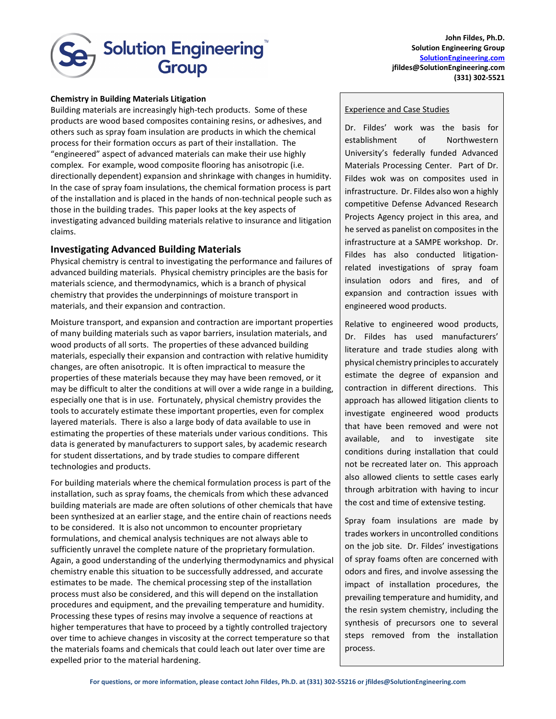

**John Fildes, Ph.D. Solution Engineering Group [SolutionEngineering.com](http://www.spotlightbc.com/) jfildes@SolutionEngineering.com (331) 302-5521**

## **Chemistry in Building Materials Litigation**

Building materials are increasingly high-tech products. Some of these products are wood based composites containing resins, or adhesives, and others such as spray foam insulation are products in which the chemical process for their formation occurs as part of their installation. The "engineered" aspect of advanced materials can make their use highly complex. For example, wood composite flooring has anisotropic (i.e. directionally dependent) expansion and shrinkage with changes in humidity. In the case of spray foam insulations, the chemical formation process is part of the installation and is placed in the hands of non-technical people such as those in the building trades. This paper looks at the key aspects of investigating advanced building materials relative to insurance and litigation claims.

## **Investigating Advanced Building Materials**

Physical chemistry is central to investigating the performance and failures of advanced building materials. Physical chemistry principles are the basis for materials science, and thermodynamics, which is a branch of physical chemistry that provides the underpinnings of moisture transport in materials, and their expansion and contraction.

Moisture transport, and expansion and contraction are important properties of many building materials such as vapor barriers, insulation materials, and wood products of all sorts. The properties of these advanced building materials, especially their expansion and contraction with relative humidity changes, are often anisotropic. It is often impractical to measure the properties of these materials because they may have been removed, or it may be difficult to alter the conditions at will over a wide range in a building, especially one that is in use. Fortunately, physical chemistry provides the tools to accurately estimate these important properties, even for complex layered materials. There is also a large body of data available to use in estimating the properties of these materials under various conditions. This data is generated by manufacturers to support sales, by academic research for student dissertations, and by trade studies to compare different technologies and products.

For building materials where the chemical formulation process is part of the installation, such as spray foams, the chemicals from which these advanced building materials are made are often solutions of other chemicals that have been synthesized at an earlier stage, and the entire chain of reactions needs to be considered. It is also not uncommon to encounter proprietary formulations, and chemical analysis techniques are not always able to sufficiently unravel the complete nature of the proprietary formulation. Again, a good understanding of the underlying thermodynamics and physical chemistry enable this situation to be successfully addressed, and accurate estimates to be made. The chemical processing step of the installation process must also be considered, and this will depend on the installation procedures and equipment, and the prevailing temperature and humidity. Processing these types of resins may involve a sequence of reactions at higher temperatures that have to proceed by a tightly controlled trajectory over time to achieve changes in viscosity at the correct temperature so that the materials foams and chemicals that could leach out later over time are expelled prior to the material hardening.

## Experience and Case Studies

Dr. Fildes' work was the basis for establishment of Northwestern University's federally funded Advanced Materials Processing Center. Part of Dr. Fildes wok was on composites used in infrastructure. Dr. Fildes also won a highly competitive Defense Advanced Research Projects Agency project in this area, and he served as panelist on composites in the infrastructure at a SAMPE workshop. Dr. Fildes has also conducted litigationrelated investigations of spray foam insulation odors and fires, and of expansion and contraction issues with engineered wood products.

Relative to engineered wood products, Dr. Fildes has used manufacturers' literature and trade studies along with physical chemistry principles to accurately estimate the degree of expansion and contraction in different directions. This approach has allowed litigation clients to investigate engineered wood products that have been removed and were not available, and to investigate site conditions during installation that could not be recreated later on. This approach also allowed clients to settle cases early through arbitration with having to incur the cost and time of extensive testing.

Spray foam insulations are made by trades workers in uncontrolled conditions on the job site. Dr. Fildes' investigations of spray foams often are concerned with odors and fires, and involve assessing the impact of installation procedures, the prevailing temperature and humidity, and the resin system chemistry, including the synthesis of precursors one to several steps removed from the installation process.